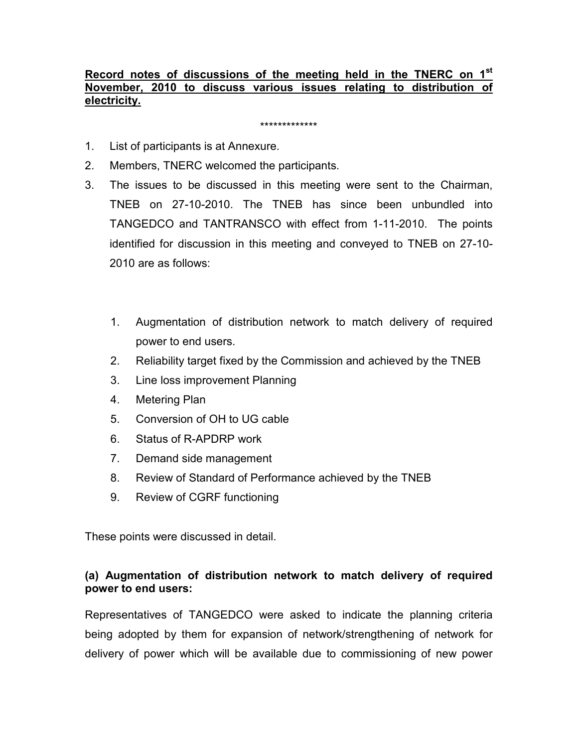### Record notes of discussions of the meeting held in the TNERC on 1<sup>st</sup> November, 2010 to discuss various issues relating to distribution of electricity.

\*\*\*\*\*\*\*\*\*\*\*\*\*

- 1. List of participants is at Annexure.
- 2. Members, TNERC welcomed the participants.
- 3. The issues to be discussed in this meeting were sent to the Chairman, TNEB on 27-10-2010. The TNEB has since been unbundled into TANGEDCO and TANTRANSCO with effect from 1-11-2010. The points identified for discussion in this meeting and conveyed to TNEB on 27-10- 2010 are as follows:
	- 1. Augmentation of distribution network to match delivery of required power to end users.
	- 2. Reliability target fixed by the Commission and achieved by the TNEB
	- 3. Line loss improvement Planning
	- 4. Metering Plan
	- 5. Conversion of OH to UG cable
	- 6. Status of R-APDRP work
	- 7. Demand side management
	- 8. Review of Standard of Performance achieved by the TNEB
	- 9. Review of CGRF functioning

These points were discussed in detail.

### (a) Augmentation of distribution network to match delivery of required power to end users:

Representatives of TANGEDCO were asked to indicate the planning criteria being adopted by them for expansion of network/strengthening of network for delivery of power which will be available due to commissioning of new power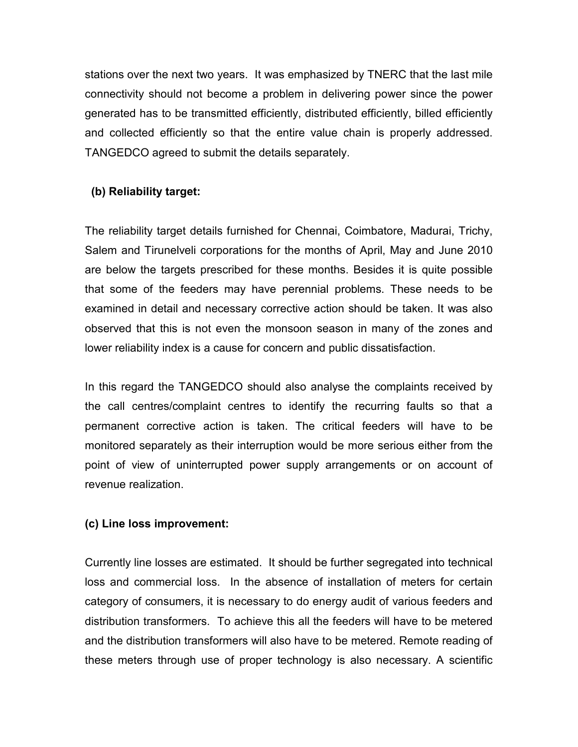stations over the next two years. It was emphasized by TNERC that the last mile connectivity should not become a problem in delivering power since the power generated has to be transmitted efficiently, distributed efficiently, billed efficiently and collected efficiently so that the entire value chain is properly addressed. TANGEDCO agreed to submit the details separately.

## (b) Reliability target:

The reliability target details furnished for Chennai, Coimbatore, Madurai, Trichy, Salem and Tirunelveli corporations for the months of April, May and June 2010 are below the targets prescribed for these months. Besides it is quite possible that some of the feeders may have perennial problems. These needs to be examined in detail and necessary corrective action should be taken. It was also observed that this is not even the monsoon season in many of the zones and lower reliability index is a cause for concern and public dissatisfaction.

In this regard the TANGEDCO should also analyse the complaints received by the call centres/complaint centres to identify the recurring faults so that a permanent corrective action is taken. The critical feeders will have to be monitored separately as their interruption would be more serious either from the point of view of uninterrupted power supply arrangements or on account of revenue realization.

### (c) Line loss improvement:

Currently line losses are estimated. It should be further segregated into technical loss and commercial loss. In the absence of installation of meters for certain category of consumers, it is necessary to do energy audit of various feeders and distribution transformers. To achieve this all the feeders will have to be metered and the distribution transformers will also have to be metered. Remote reading of these meters through use of proper technology is also necessary. A scientific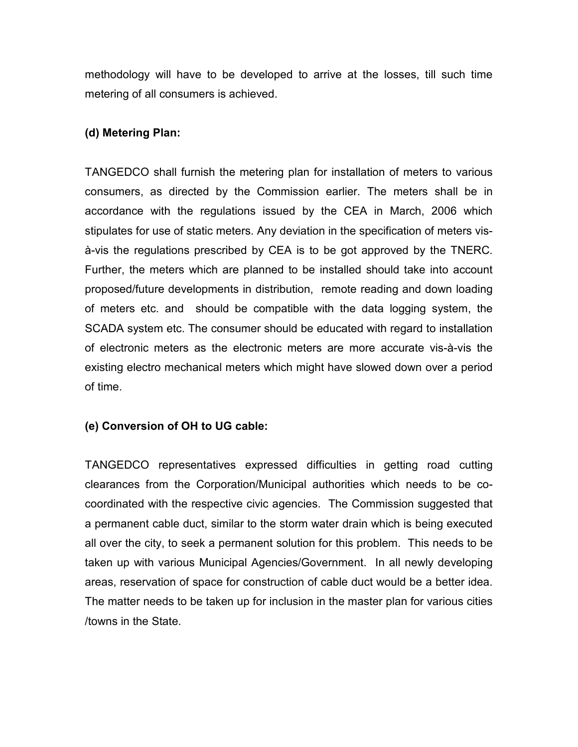methodology will have to be developed to arrive at the losses, till such time metering of all consumers is achieved.

#### (d) Metering Plan:

TANGEDCO shall furnish the metering plan for installation of meters to various consumers, as directed by the Commission earlier. The meters shall be in accordance with the regulations issued by the CEA in March, 2006 which stipulates for use of static meters. Any deviation in the specification of meters visà-vis the regulations prescribed by CEA is to be got approved by the TNERC. Further, the meters which are planned to be installed should take into account proposed/future developments in distribution, remote reading and down loading of meters etc. and should be compatible with the data logging system, the SCADA system etc. The consumer should be educated with regard to installation of electronic meters as the electronic meters are more accurate vis-à-vis the existing electro mechanical meters which might have slowed down over a period of time.

#### (e) Conversion of OH to UG cable:

TANGEDCO representatives expressed difficulties in getting road cutting clearances from the Corporation/Municipal authorities which needs to be cocoordinated with the respective civic agencies. The Commission suggested that a permanent cable duct, similar to the storm water drain which is being executed all over the city, to seek a permanent solution for this problem. This needs to be taken up with various Municipal Agencies/Government. In all newly developing areas, reservation of space for construction of cable duct would be a better idea. The matter needs to be taken up for inclusion in the master plan for various cities /towns in the State.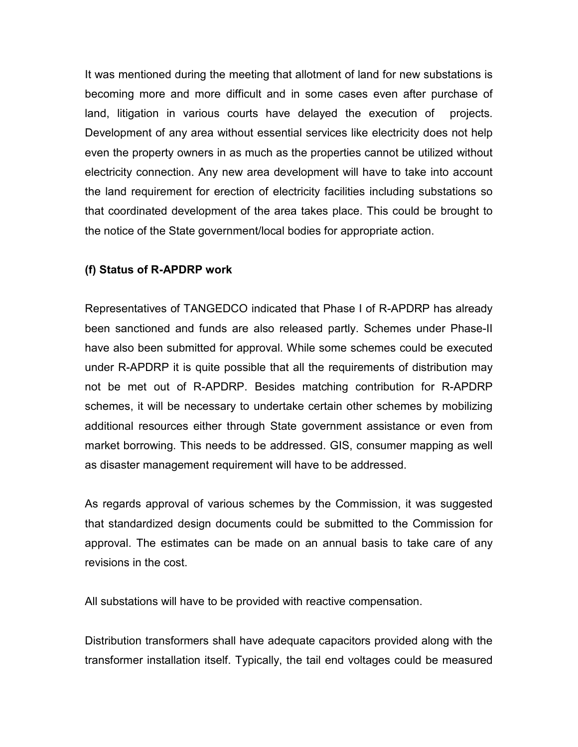It was mentioned during the meeting that allotment of land for new substations is becoming more and more difficult and in some cases even after purchase of land, litigation in various courts have delayed the execution of projects. Development of any area without essential services like electricity does not help even the property owners in as much as the properties cannot be utilized without electricity connection. Any new area development will have to take into account the land requirement for erection of electricity facilities including substations so that coordinated development of the area takes place. This could be brought to the notice of the State government/local bodies for appropriate action.

#### (f) Status of R-APDRP work

Representatives of TANGEDCO indicated that Phase I of R-APDRP has already been sanctioned and funds are also released partly. Schemes under Phase-II have also been submitted for approval. While some schemes could be executed under R-APDRP it is quite possible that all the requirements of distribution may not be met out of R-APDRP. Besides matching contribution for R-APDRP schemes, it will be necessary to undertake certain other schemes by mobilizing additional resources either through State government assistance or even from market borrowing. This needs to be addressed. GIS, consumer mapping as well as disaster management requirement will have to be addressed.

As regards approval of various schemes by the Commission, it was suggested that standardized design documents could be submitted to the Commission for approval. The estimates can be made on an annual basis to take care of any revisions in the cost.

All substations will have to be provided with reactive compensation.

Distribution transformers shall have adequate capacitors provided along with the transformer installation itself. Typically, the tail end voltages could be measured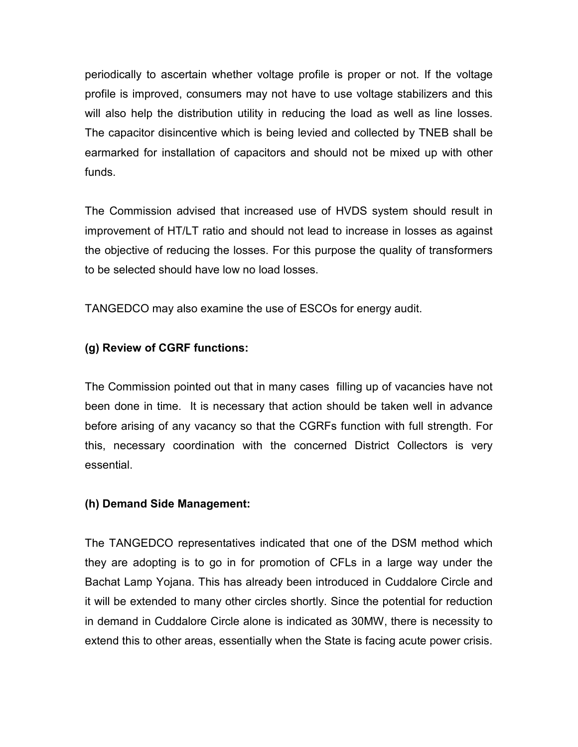periodically to ascertain whether voltage profile is proper or not. If the voltage profile is improved, consumers may not have to use voltage stabilizers and this will also help the distribution utility in reducing the load as well as line losses. The capacitor disincentive which is being levied and collected by TNEB shall be earmarked for installation of capacitors and should not be mixed up with other funds.

The Commission advised that increased use of HVDS system should result in improvement of HT/LT ratio and should not lead to increase in losses as against the objective of reducing the losses. For this purpose the quality of transformers to be selected should have low no load losses.

TANGEDCO may also examine the use of ESCOs for energy audit.

# (g) Review of CGRF functions:

The Commission pointed out that in many cases filling up of vacancies have not been done in time. It is necessary that action should be taken well in advance before arising of any vacancy so that the CGRFs function with full strength. For this, necessary coordination with the concerned District Collectors is very essential.

# (h) Demand Side Management:

The TANGEDCO representatives indicated that one of the DSM method which they are adopting is to go in for promotion of CFLs in a large way under the Bachat Lamp Yojana. This has already been introduced in Cuddalore Circle and it will be extended to many other circles shortly. Since the potential for reduction in demand in Cuddalore Circle alone is indicated as 30MW, there is necessity to extend this to other areas, essentially when the State is facing acute power crisis.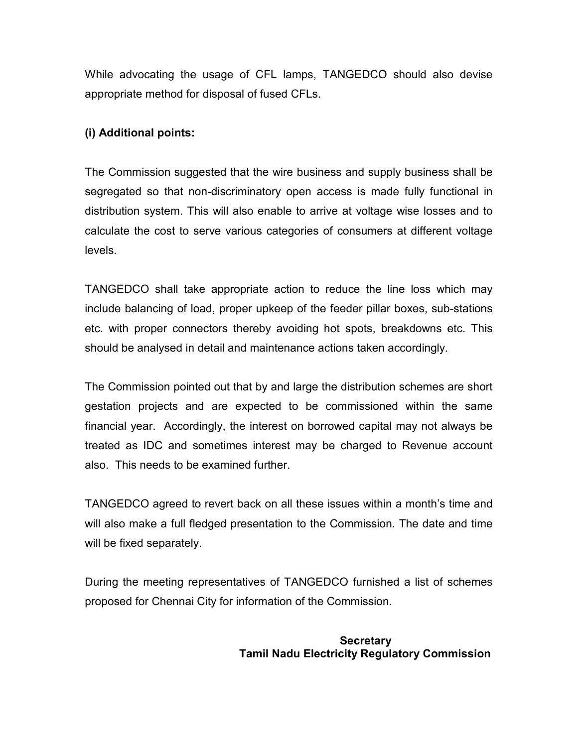While advocating the usage of CFL lamps, TANGEDCO should also devise appropriate method for disposal of fused CFLs.

### (i) Additional points:

The Commission suggested that the wire business and supply business shall be segregated so that non-discriminatory open access is made fully functional in distribution system. This will also enable to arrive at voltage wise losses and to calculate the cost to serve various categories of consumers at different voltage levels.

TANGEDCO shall take appropriate action to reduce the line loss which may include balancing of load, proper upkeep of the feeder pillar boxes, sub-stations etc. with proper connectors thereby avoiding hot spots, breakdowns etc. This should be analysed in detail and maintenance actions taken accordingly.

The Commission pointed out that by and large the distribution schemes are short gestation projects and are expected to be commissioned within the same financial year. Accordingly, the interest on borrowed capital may not always be treated as IDC and sometimes interest may be charged to Revenue account also. This needs to be examined further.

TANGEDCO agreed to revert back on all these issues within a month's time and will also make a full fledged presentation to the Commission. The date and time will be fixed separately.

During the meeting representatives of TANGEDCO furnished a list of schemes proposed for Chennai City for information of the Commission.

#### Secretary Tamil Nadu Electricity Regulatory Commission